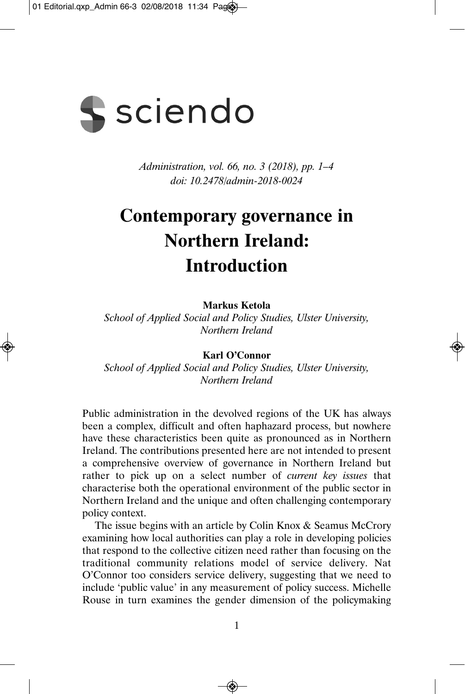

*Administration, vol. 66, no. 3 (2018), pp. 1–4 doi: 10.2478/admin-2018-0024* 

## **Contemporary governance in Northern Ireland: Introduction**

**Markus Ketola** 

*School of Applied Social and Policy Studies, Ulster University, Northern Ireland* 

**Karl O'Connor** 

*School of Applied Social and Policy Studies, Ulster University, Northern Ireland* 

Public administration in the devolved regions of the UK has always been a complex, difficult and often haphazard process, but nowhere have these characteristics been quite as pronounced as in Northern Ireland. The contributions presented here are not intended to present a comprehensive overview of governance in Northern Ireland but rather to pick up on a select number of *current key issues* that characterise both the operational environment of the public sector in Northern Ireland and the unique and often challenging contemporary policy context.

The issue begins with an article by Colin Knox & Seamus McCrory examining how local authorities can play a role in developing policies that respond to the collective citizen need rather than focusing on the traditional community relations model of service delivery. Nat O'Connor too considers service delivery, suggesting that we need to include 'public value' in any measurement of policy success. Michelle Rouse in turn examines the gender dimension of the policymaking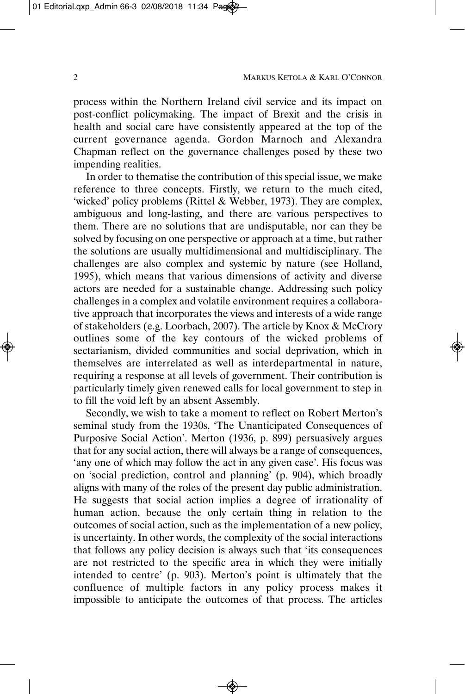process within the Northern Ireland civil service and its impact on post-conflict policymaking. The impact of Brexit and the crisis in health and social care have consistently appeared at the top of the current governance agenda. Gordon Marnoch and Alexandra Chapman reflect on the governance challenges posed by these two impending realities.

In order to thematise the contribution of this special issue, we make reference to three concepts. Firstly, we return to the much cited, 'wicked' policy problems (Rittel & Webber, 1973). They are complex, ambiguous and long-lasting, and there are various perspectives to them. There are no solutions that are undisputable, nor can they be solved by focusing on one perspective or approach at a time, but rather the solutions are usually multidimensional and multidisciplinary. The challenges are also complex and systemic by nature (see Holland, 1995), which means that various dimensions of activity and diverse actors are needed for a sustainable change. Addressing such policy challenges in a complex and volatile environment requires a collabora tive approach that incorporates the views and interests of a wide range of stakeholders (e.g. Loorbach, 2007). The article by Knox & McCrory outlines some of the key contours of the wicked problems of sectarianism, divided communities and social deprivation, which in themselves are interrelated as well as interdepartmental in nature, requiring a response at all levels of government. Their contribution is particularly timely given renewed calls for local government to step in to fill the void left by an absent Assembly.

Secondly, we wish to take a moment to reflect on Robert Merton's seminal study from the 1930s, 'The Unanticipated Consequences of Purposive Social Action'. Merton (1936, p. 899) persuasively argues that for any social action, there will always be a range of consequences, 'any one of which may follow the act in any given case'. His focus was on 'social prediction, control and planning' (p. 904), which broadly aligns with many of the roles of the present day public administration. He suggests that social action implies a degree of irrationality of human action, because the only certain thing in relation to the outcomes of social action, such as the implementation of a new policy, is uncertainty. In other words, the complexity of the social interactions that follows any policy decision is always such that 'its consequences are not restricted to the specific area in which they were initially intended to centre' (p. 903). Merton's point is ultimately that the confluence of multiple factors in any policy process makes it impossible to anticipate the outcomes of that process. The articles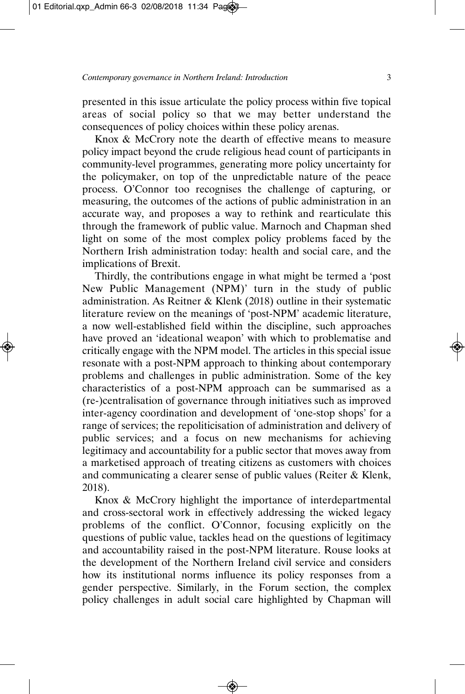presented in this issue articulate the policy process within five topical areas of social policy so that we may better understand the consequences of policy choices within these policy arenas.

Knox & McCrory note the dearth of effective means to measure policy impact beyond the crude religious head count of participants in community-level programmes, generating more policy uncertainty for the policymaker, on top of the unpredictable nature of the peace process. O'Connor too recognises the challenge of capturing, or measuring, the outcomes of the actions of public administration in an accurate way, and proposes a way to rethink and rearticulate this through the framework of public value. Marnoch and Chapman shed light on some of the most complex policy problems faced by the Northern Irish administration today: health and social care, and the implications of Brexit.

Thirdly, the contributions engage in what might be termed a 'post New Public Management (NPM)' turn in the study of public administration. As Reitner & Klenk (2018) outline in their systematic literature review on the meanings of 'post-NPM' academic literature, a now well-established field within the discipline, such approaches have proved an 'ideational weapon' with which to problematise and critically engage with the NPM model. The articles in this special issue resonate with a post-NPM approach to thinking about contemporary problems and challenges in public administration. Some of the key characteristics of a post-NPM approach can be summarised as a (re-)centralisation of governance through initiatives such as improved inter-agency coordination and development of 'one-stop shops' for a range of services; the repoliticisation of administration and delivery of public services; and a focus on new mechanisms for achieving legitimacy and accountability for a public sector that moves away from a marketised approach of treating citizens as customers with choices and communicating a clearer sense of public values (Reiter & Klenk, 2018).

Knox & McCrory highlight the importance of interdepartmental and cross-sectoral work in effectively addressing the wicked legacy problems of the conflict. O'Connor, focusing explicitly on the questions of public value, tackles head on the questions of legitimacy and accountability raised in the post-NPM literature. Rouse looks at the development of the Northern Ireland civil service and considers how its institutional norms influence its policy responses from a gender perspective. Similarly, in the Forum section, the complex policy challenges in adult social care highlighted by Chapman will